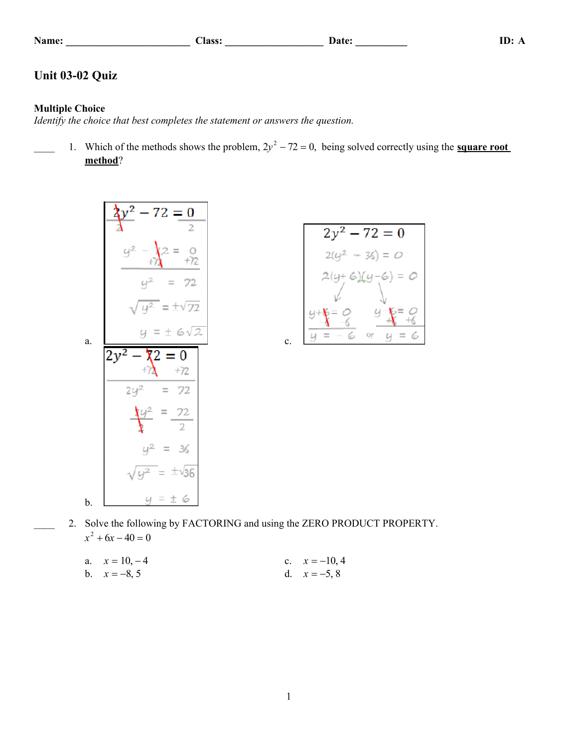| Name |  |  |  |  |  |
|------|--|--|--|--|--|
|------|--|--|--|--|--|

# **Name: \_\_\_\_\_\_\_\_\_\_\_\_\_\_\_\_\_\_\_\_\_\_\_\_ Class: \_\_\_\_\_\_\_\_\_\_\_\_\_\_\_\_\_\_\_ Date: \_\_\_\_\_\_\_\_\_\_ ID: A**

# **Unit 03-02 Quiz**

## **Multiple Choice**

*Identify the choice that best completes the statement or answers the question.*

1. Which of the methods shows the problem,  $2y^2 - 72 = 0$ , being solved correctly using the **square root method**?

$$
\frac{2y^{2}-72=0}{y^{2}-\frac{1}{x^{2}}}=0
$$
\n
$$
\frac{y^{2}-\frac{1}{x^{2}}=0}{y^{2}=72}
$$
\n
$$
\sqrt{y^{2}}= \pm \sqrt{72}
$$
\na.\n
$$
\frac{y=\pm 6\sqrt{2}}{2y^{2}-\frac{1}{x^{2}}}=0
$$
\n
$$
\frac{2y^{2}-\frac{1}{x^{2}}}{2y^{2}=72}
$$
\n
$$
\frac{1}{x}y^{2}=\frac{72}{2}
$$
\n
$$
y^{2}=36
$$
\n
$$
\sqrt{y^{2}}=\pm \sqrt{36}
$$
\nb.\n
$$
y=\pm 6
$$

$$
2y^{2} - 72 = 0
$$
  
\n
$$
2(y^{2} - 36) = 0
$$
  
\n
$$
2(y+6)(y-6) = 0
$$
  
\n
$$
y+6 = 0
$$
  
\n
$$
y-6 = 0
$$
  
\n
$$
y-6 = 0
$$
  
\n
$$
y-6 = 0
$$
  
\n
$$
y-6 = 0
$$
  
\n
$$
y-6 = 0
$$
  
\n
$$
y-6 = 0
$$

2. Solve the following by FACTORING and using the ZERO PRODUCT PROPERTY.  $x^2 + 6x - 40 = 0$ 

| a. $x = 10, -4$ | c. $x = -10, 4$ |
|-----------------|-----------------|
| b. $x = -8, 5$  | d. $x = -5, 8$  |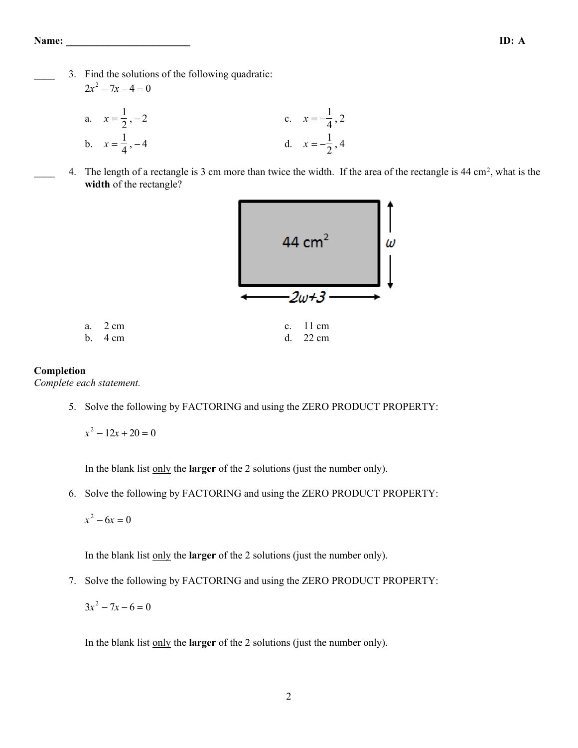3. Find the solutions of the following quadratic:  $2x^2 - 7x - 4 = 0$ 

a. 
$$
x = \frac{1}{2}, -2
$$
  
\nb.  $x = \frac{1}{4}, -4$   
\nc.  $x = -\frac{1}{4}, 2$   
\nd.  $x = -\frac{1}{2}, 4$ 

4. The length of a rectangle is 3 cm more than twice the width. If the area of the rectangle is 44 cm<sup>2</sup>, what is the **width** of the rectangle?

| 44 $cm2$                                      | ω |
|-----------------------------------------------|---|
| $2w+3$                                        |   |
| $11 \text{ cm}$<br>$c_{\cdot}$<br>d.<br>22 cm |   |

### **Completion**

*Complete each statement.*

a. 2 cm b.  $4 \text{ cm}$ 

5. Solve the following by FACTORING and using the ZERO PRODUCT PROPERTY:

$$
x^2 - 12x + 20 = 0
$$

In the blank list only the **larger** of the 2 solutions (just the number only).

6. Solve the following by FACTORING and using the ZERO PRODUCT PROPERTY:

 $x^2 - 6x = 0$ 

In the blank list only the **larger** of the 2 solutions (just the number only).

7. Solve the following by FACTORING and using the ZERO PRODUCT PROPERTY:

 $3x^2 - 7x - 6 = 0$ 

In the blank list only the **larger** of the 2 solutions (just the number only).